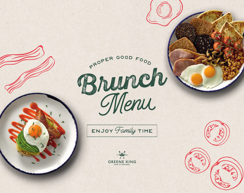